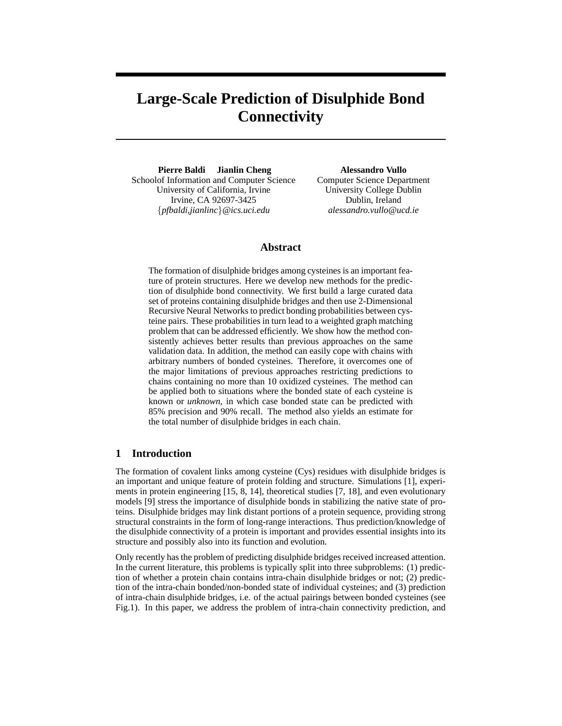# **Large-Scale Prediction of Disulphide Bond Connectivity**

**Pierre Baldi Jianlin Cheng** Schoolof Information and Computer Science University of California, Irvine Irvine, CA 92697-3425 {*pfbaldi,jianlinc*}*@ics.uci.edu*

**Alessandro Vullo** Computer Science Department University College Dublin Dublin, Ireland *alessandro.vullo@ucd.ie*

# **Abstract**

The formation of disulphide bridges among cysteines is an important feature of protein structures. Here we develop new methods for the prediction of disulphide bond connectivity. We first build a large curated data set of proteins containing disulphide bridges and then use 2-Dimensional Recursive Neural Networks to predict bonding probabilities between cysteine pairs. These probabilities in turn lead to a weighted graph matching problem that can be addressed efficiently. We show how the method consistently achieves better results than previous approaches on the same validation data. In addition, the method can easily cope with chains with arbitrary numbers of bonded cysteines. Therefore, it overcomes one of the major limitations of previous approaches restricting predictions to chains containing no more than 10 oxidized cysteines. The method can be applied both to situations where the bonded state of each cysteine is known or *unknown*, in which case bonded state can be predicted with 85% precision and 90% recall. The method also yields an estimate for the total number of disulphide bridges in each chain.

# **1 Introduction**

The formation of covalent links among cysteine (Cys) residues with disulphide bridges is an important and unique feature of protein folding and structure. Simulations [1], experiments in protein engineering [15, 8, 14], theoretical studies [7, 18], and even evolutionary models [9] stress the importance of disulphide bonds in stabilizing the native state of proteins. Disulphide bridges may link distant portions of a protein sequence, providing strong structural constraints in the form of long-range interactions. Thus prediction/knowledge of the disulphide connectivity of a protein is important and provides essential insights into its structure and possibly also into its function and evolution.

Only recently has the problem of predicting disulphide bridges received increased attention. In the current literature, this problems is typically split into three subproblems: (1) prediction of whether a protein chain contains intra-chain disulphide bridges or not; (2) prediction of the intra-chain bonded/non-bonded state of individual cysteines; and (3) prediction of intra-chain disulphide bridges, i.e. of the actual pairings between bonded cysteines (see Fig.1). In this paper, we address the problem of intra-chain connectivity prediction, and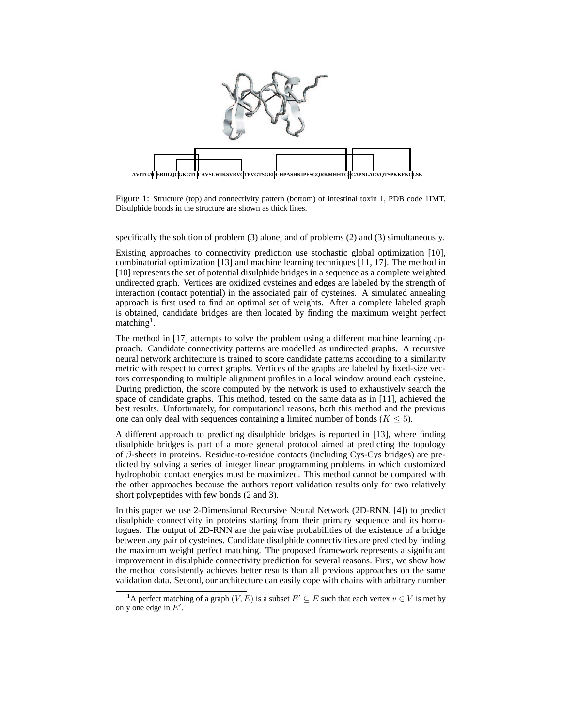

Figure 1: Structure (top) and connectivity pattern (bottom) of intestinal toxin 1, PDB code 1IMT. Disulphide bonds in the structure are shown as thick lines.

specifically the solution of problem (3) alone, and of problems (2) and (3) simultaneously.

Existing approaches to connectivity prediction use stochastic global optimization [10], combinatorial optimization [13] and machine learning techniques [11, 17]. The method in [10] represents the set of potential disulphide bridges in a sequence as a complete weighted undirected graph. Vertices are oxidized cysteines and edges are labeled by the strength of interaction (contact potential) in the associated pair of cysteines. A simulated annealing approach is first used to find an optimal set of weights. After a complete labeled graph is obtained, candidate bridges are then located by finding the maximum weight perfect matching<sup>1</sup>.

The method in [17] attempts to solve the problem using a different machine learning approach. Candidate connectivity patterns are modelled as undirected graphs. A recursive neural network architecture is trained to score candidate patterns according to a similarity metric with respect to correct graphs. Vertices of the graphs are labeled by fixed-size vectors corresponding to multiple alignment profiles in a local window around each cysteine. During prediction, the score computed by the network is used to exhaustively search the space of candidate graphs. This method, tested on the same data as in [11], achieved the best results. Unfortunately, for computational reasons, both this method and the previous one can only deal with sequences containing a limited number of bonds ( $K \leq 5$ ).

A different approach to predicting disulphide bridges is reported in [13], where finding disulphide bridges is part of a more general protocol aimed at predicting the topology of β-sheets in proteins. Residue-to-residue contacts (including Cys-Cys bridges) are predicted by solving a series of integer linear programming problems in which customized hydrophobic contact energies must be maximized. This method cannot be compared with the other approaches because the authors report validation results only for two relatively short polypeptides with few bonds (2 and 3).

In this paper we use 2-Dimensional Recursive Neural Network (2D-RNN, [4]) to predict disulphide connectivity in proteins starting from their primary sequence and its homologues. The output of 2D-RNN are the pairwise probabilities of the existence of a bridge between any pair of cysteines. Candidate disulphide connectivities are predicted by finding the maximum weight perfect matching. The proposed framework represents a significant improvement in disulphide connectivity prediction for several reasons. First, we show how the method consistently achieves better results than all previous approaches on the same validation data. Second, our architecture can easily cope with chains with arbitrary number

<sup>&</sup>lt;sup>1</sup>A perfect matching of a graph  $(V, E)$  is a subset  $E' \subseteq E$  such that each vertex  $v \in V$  is met by only one edge in  $E'$ .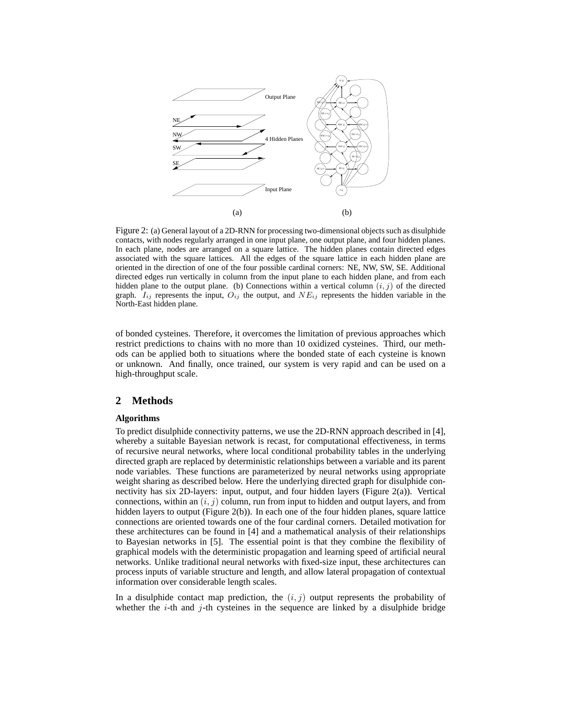

Figure 2: (a) General layout of a 2D-RNN for processing two-dimensional objects such as disulphide contacts, with nodes regularly arranged in one input plane, one output plane, and four hidden planes. In each plane, nodes are arranged on a square lattice. The hidden planes contain directed edges associated with the square lattices. All the edges of the square lattice in each hidden plane are oriented in the direction of one of the four possible cardinal corners: NE, NW, SW, SE. Additional directed edges run vertically in column from the input plane to each hidden plane, and from each hidden plane to the output plane. (b) Connections within a vertical column  $(i, j)$  of the directed graph.  $I_{ij}$  represents the input,  $O_{ij}$  the output, and  $NE_{ij}$  represents the hidden variable in the North-East hidden plane.

of bonded cysteines. Therefore, it overcomes the limitation of previous approaches which restrict predictions to chains with no more than 10 oxidized cysteines. Third, our methods can be applied both to situations where the bonded state of each cysteine is known or unknown. And finally, once trained, our system is very rapid and can be used on a high-throughput scale.

# **2 Methods**

#### **Algorithms**

To predict disulphide connectivity patterns, we use the 2D-RNN approach described in [4], whereby a suitable Bayesian network is recast, for computational effectiveness, in terms of recursive neural networks, where local conditional probability tables in the underlying directed graph are replaced by deterministic relationships between a variable and its parent node variables. These functions are parameterized by neural networks using appropriate weight sharing as described below. Here the underlying directed graph for disulphide connectivity has six 2D-layers: input, output, and four hidden layers (Figure 2(a)). Vertical connections, within an  $(i, j)$  column, run from input to hidden and output layers, and from hidden layers to output (Figure 2(b)). In each one of the four hidden planes, square lattice connections are oriented towards one of the four cardinal corners. Detailed motivation for these architectures can be found in [4] and a mathematical analysis of their relationships to Bayesian networks in [5]. The essential point is that they combine the flexibility of graphical models with the deterministic propagation and learning speed of artificial neural networks. Unlike traditional neural networks with fixed-size input, these architectures can process inputs of variable structure and length, and allow lateral propagation of contextual information over considerable length scales.

In a disulphide contact map prediction, the  $(i, j)$  output represents the probability of whether the  $i$ -th and  $j$ -th cysteines in the sequence are linked by a disulphide bridge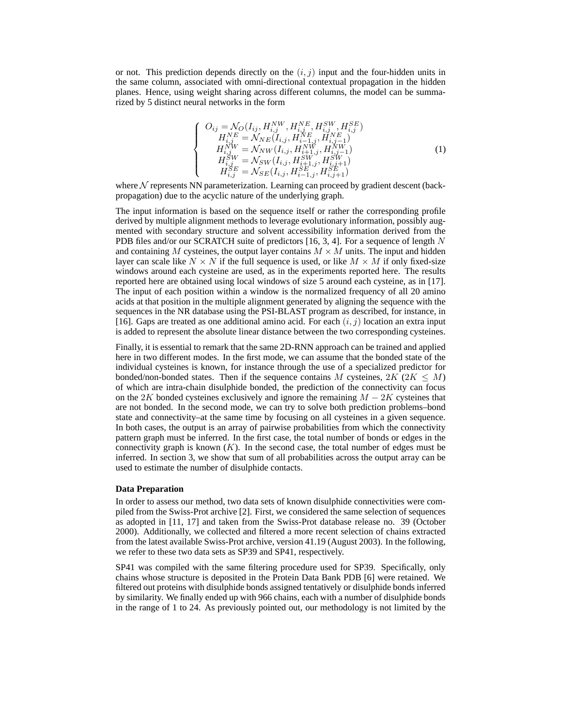or not. This prediction depends directly on the  $(i, j)$  input and the four-hidden units in the same column, associated with omni-directional contextual propagation in the hidden planes. Hence, using weight sharing across different columns, the model can be summarized by 5 distinct neural networks in the form

$$
\begin{cases}\nO_{ij} = \mathcal{N}_O(I_{ij}, H_{i,j}^{NW}, H_{i,j}^{NE}, H_{i,j}^{SW}, H_{i,j}^{SE}) \\
H_{i,j}^{NE} = \mathcal{N}_{NE}(I_{i,j}, H_{i-1,j}^{NE}, H_{i,j-1}^{NE}) \\
H_{i,j}^{NW} = \mathcal{N}_{NW}(I_{i,j}, H_{i+1,j}^{NW}, H_{i,j-1}^{NW}) \\
H_{i,j}^{SW} = \mathcal{N}_{SW}(I_{i,j}, H_{i+1,j}^{SW}, H_{i,j+1}^{SW}) \\
H_{i,j}^{SE} = \mathcal{N}_{SE}(I_{i,j}, H_{i-1,j}^{SE}, H_{i,j+1}^{SE})\n\end{cases} \tag{1}
$$

where  $N$  represents NN parameterization. Learning can proceed by gradient descent (backpropagation) due to the acyclic nature of the underlying graph.

The input information is based on the sequence itself or rather the corresponding profile derived by multiple alignment methods to leverage evolutionary information, possibly augmented with secondary structure and solvent accessibility information derived from the PDB files and/or our SCRATCH suite of predictors [16, 3, 4]. For a sequence of length  $N$ and containing M cysteines, the output layer contains  $M \times M$  units. The input and hidden layer can scale like  $N \times N$  if the full sequence is used, or like  $M \times M$  if only fixed-size windows around each cysteine are used, as in the experiments reported here. The results reported here are obtained using local windows of size 5 around each cysteine, as in [17]. The input of each position within a window is the normalized frequency of all 20 amino acids at that position in the multiple alignment generated by aligning the sequence with the sequences in the NR database using the PSI-BLAST program as described, for instance, in [16]. Gaps are treated as one additional amino acid. For each  $(i, j)$  location an extra input is added to represent the absolute linear distance between the two corresponding cysteines.

Finally, it is essential to remark that the same 2D-RNN approach can be trained and applied here in two different modes. In the first mode, we can assume that the bonded state of the individual cysteines is known, for instance through the use of a specialized predictor for bonded/non-bonded states. Then if the sequence contains M cysteines,  $2K$  ( $2K \le M$ ) of which are intra-chain disulphide bonded, the prediction of the connectivity can focus on the 2K bonded cysteines exclusively and ignore the remaining  $M - 2K$  cysteines that are not bonded. In the second mode, we can try to solve both prediction problems–bond state and connectivity–at the same time by focusing on all cysteines in a given sequence. In both cases, the output is an array of pairwise probabilities from which the connectivity pattern graph must be inferred. In the first case, the total number of bonds or edges in the connectivity graph is known  $(K)$ . In the second case, the total number of edges must be inferred. In section 3, we show that sum of all probabilities across the output array can be used to estimate the number of disulphide contacts.

#### **Data Preparation**

In order to assess our method, two data sets of known disulphide connectivities were compiled from the Swiss-Prot archive [2]. First, we considered the same selection of sequences as adopted in [11, 17] and taken from the Swiss-Prot database release no. 39 (October 2000). Additionally, we collected and filtered a more recent selection of chains extracted from the latest available Swiss-Prot archive, version 41.19 (August 2003). In the following, we refer to these two data sets as SP39 and SP41, respectively.

SP41 was compiled with the same filtering procedure used for SP39. Specifically, only chains whose structure is deposited in the Protein Data Bank PDB [6] were retained. We filtered out proteins with disulphide bonds assigned tentatively or disulphide bonds inferred by similarity. We finally ended up with 966 chains, each with a number of disulphide bonds in the range of 1 to 24. As previously pointed out, our methodology is not limited by the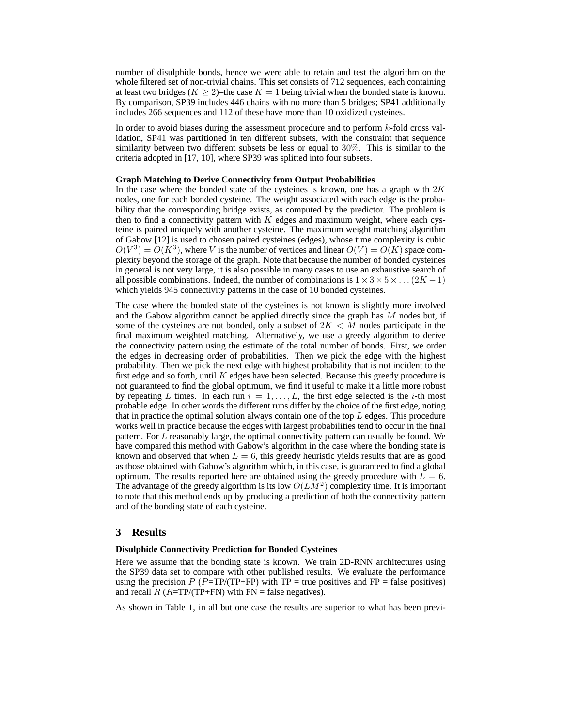number of disulphide bonds, hence we were able to retain and test the algorithm on the whole filtered set of non-trivial chains. This set consists of 712 sequences, each containing at least two bridges ( $K \geq 2$ )–the case  $K = 1$  being trivial when the bonded state is known. By comparison, SP39 includes 446 chains with no more than 5 bridges; SP41 additionally includes 266 sequences and 112 of these have more than 10 oxidized cysteines.

In order to avoid biases during the assessment procedure and to perform k-fold cross validation, SP41 was partitioned in ten different subsets, with the constraint that sequence similarity between two different subsets be less or equal to 30%. This is similar to the criteria adopted in [17, 10], where SP39 was splitted into four subsets.

#### **Graph Matching to Derive Connectivity from Output Probabilities**

In the case where the bonded state of the cysteines is known, one has a graph with  $2K$ nodes, one for each bonded cysteine. The weight associated with each edge is the probability that the corresponding bridge exists, as computed by the predictor. The problem is then to find a connectivity pattern with  $K$  edges and maximum weight, where each cysteine is paired uniquely with another cysteine. The maximum weight matching algorithm of Gabow [12] is used to chosen paired cysteines (edges), whose time complexity is cubic  $O(V^3) = O(K^3)$ , where V is the number of vertices and linear  $O(V) = O(K)$  space complexity beyond the storage of the graph. Note that because the number of bonded cysteines in general is not very large, it is also possible in many cases to use an exhaustive search of all possible combinations. Indeed, the number of combinations is  $1 \times 3 \times 5 \times \ldots (2K-1)$ which yields 945 connectivity patterns in the case of 10 bonded cysteines.

The case where the bonded state of the cysteines is not known is slightly more involved and the Gabow algorithm cannot be applied directly since the graph has  $M$  nodes but, if some of the cysteines are not bonded, only a subset of  $2K < M$  nodes participate in the final maximum weighted matching. Alternatively, we use a greedy algorithm to derive the connectivity pattern using the estimate of the total number of bonds. First, we order the edges in decreasing order of probabilities. Then we pick the edge with the highest probability. Then we pick the next edge with highest probability that is not incident to the first edge and so forth, until  $K$  edges have been selected. Because this greedy procedure is not guaranteed to find the global optimum, we find it useful to make it a little more robust by repeating L times. In each run  $i = 1, \ldots, L$ , the first edge selected is the *i*-th most probable edge. In other words the different runs differ by the choice of the first edge, noting that in practice the optimal solution always contain one of the top L edges. This procedure works well in practice because the edges with largest probabilities tend to occur in the final pattern. For L reasonably large, the optimal connectivity pattern can usually be found. We have compared this method with Gabow's algorithm in the case where the bonding state is known and observed that when  $L = 6$ , this greedy heuristic yields results that are as good as those obtained with Gabow's algorithm which, in this case, is guaranteed to find a global optimum. The results reported here are obtained using the greedy procedure with  $L = 6$ . The advantage of the greedy algorithm is its low  $O(LM^2)$  complexity time. It is important to note that this method ends up by producing a prediction of both the connectivity pattern and of the bonding state of each cysteine.

## **3 Results**

## **Disulphide Connectivity Prediction for Bonded Cysteines**

Here we assume that the bonding state is known. We train 2D-RNN architectures using the SP39 data set to compare with other published results. We evaluate the performance using the precision  $P (P=TP/(TP+FP)$  with  $TP = true$  positives and  $FP = false$  positives) and recall  $\overline{R}$  ( $R = TP/(TP + FN)$ ) with  $FN = false$  negatives).

As shown in Table 1, in all but one case the results are superior to what has been previ-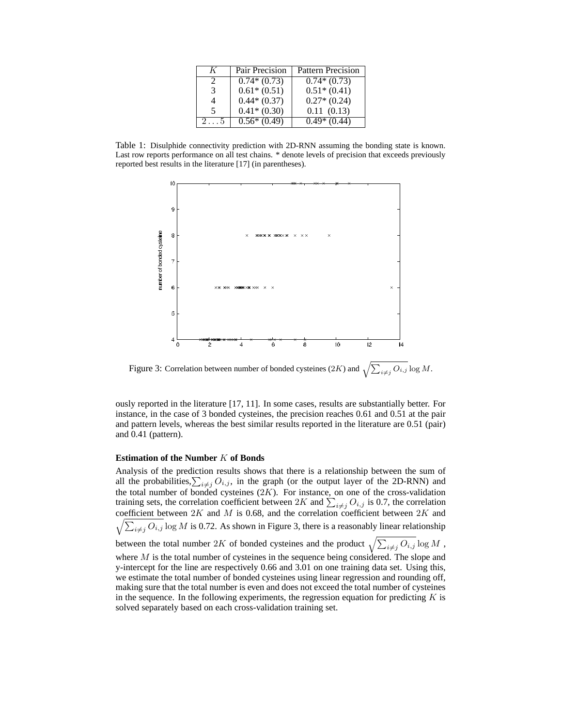| K | Pair Precision | Pattern Precision |
|---|----------------|-------------------|
|   | $0.74*(0.73)$  | $0.74*(0.73)$     |
| 3 | $0.61*(0.51)$  | $0.51*(0.41)$     |
|   | $0.44*(0.37)$  | $0.27*(0.24)$     |
| 5 | $0.41*(0.30)$  | 0.11(0.13)        |
|   | $0.56*(0.49)$  | $0.49*(0.44)$     |

Table 1: Disulphide connectivity prediction with 2D-RNN assuming the bonding state is known. Last row reports performance on all test chains. \* denote levels of precision that exceeds previously reported best results in the literature [17] (in parentheses).



Figure 3: Correlation between number of bonded cysteines (2K) and  $\sqrt{\sum_{i \neq j} O_{i,j}} \log M$ .

ously reported in the literature [17, 11]. In some cases, results are substantially better. For instance, in the case of 3 bonded cysteines, the precision reaches 0.61 and 0.51 at the pair and pattern levels, whereas the best similar results reported in the literature are 0.51 (pair) and 0.41 (pattern).

#### **Estimation of the Number** K **of Bonds**

Analysis of the prediction results shows that there is a relationship between the sum of all the probabilities,  $\sum_{i \neq j} O_{i,j}$ , in the graph (or the output layer of the 2D-RNN) and the total number of bonded cysteines  $(2K)$ . For instance, on one of the cross-validation training sets, the correlation coefficient between 2K and  $\sum_{i \neq j} O_{i,j}$  is 0.7, the correlation  $\sqrt{\sum_{i \neq j} O_{i,j}} \log M$  is 0.72. As shown in Figure 3, there is a reasonably linear relationship coefficient between  $2K$  and  $M$  is 0.68, and the correlation coefficient between  $2K$  and between the total number 2K of bonded cysteines and the product  $\sqrt{\sum_{i \neq j} O_{i,j}} \log M$ , where  $M$  is the total number of cysteines in the sequence being considered. The slope and y-intercept for the line are respectively 0.66 and 3.01 on one training data set. Using this, we estimate the total number of bonded cysteines using linear regression and rounding off, making sure that the total number is even and does not exceed the total number of cysteines in the sequence. In the following experiments, the regression equation for predicting  $K$  is solved separately based on each cross-validation training set.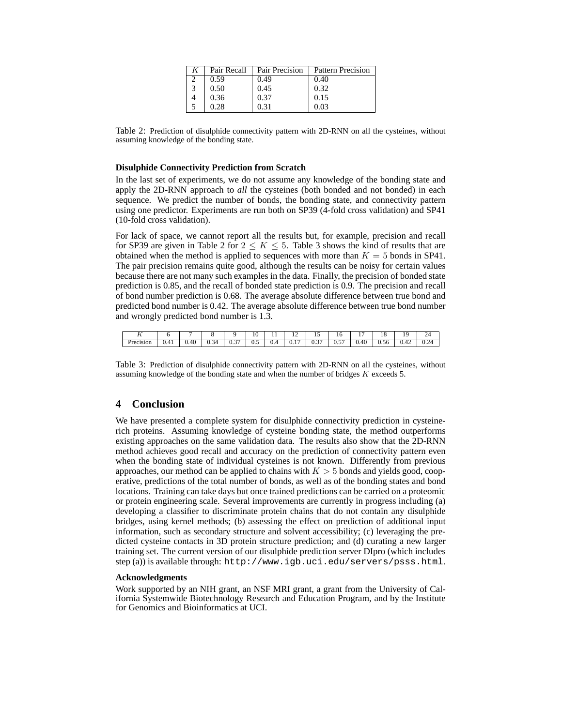|   | Pair Recall | Pair Precision | <b>Pattern Precision</b> |  |  |  |
|---|-------------|----------------|--------------------------|--|--|--|
|   | 0.59        | 0.49           | 0.40                     |  |  |  |
| 3 | 0.50        | 0.45           | 0.32                     |  |  |  |
|   | 0.36        | 0.37           | 0.15                     |  |  |  |
|   |             | 0.31           | 0.03                     |  |  |  |

Table 2: Prediction of disulphide connectivity pattern with 2D-RNN on all the cysteines, without assuming knowledge of the bonding state.

#### **Disulphide Connectivity Prediction from Scratch**

In the last set of experiments, we do not assume any knowledge of the bonding state and apply the 2D-RNN approach to *all* the cysteines (both bonded and not bonded) in each sequence. We predict the number of bonds, the bonding state, and connectivity pattern using one predictor. Experiments are run both on SP39 (4-fold cross validation) and SP41 (10-fold cross validation).

For lack of space, we cannot report all the results but, for example, precision and recall for SP39 are given in Table 2 for  $2 \le K \le 5$ . Table 3 shows the kind of results that are obtained when the method is applied to sequences with more than  $K = 5$  bonds in SP41. The pair precision remains quite good, although the results can be noisy for certain values because there are not many such examples in the data. Finally, the precision of bonded state prediction is 0.85, and the recall of bonded state prediction is 0.9. The precision and recall of bond number prediction is 0.68. The average absolute difference between true bond and predicted bond number is 0.42. The average absolute difference between true bond number and wrongly predicted bond number is 1.3.

| . .       |      |      |          |            | 10  | . . | . .  | . .           | 1 U        |                        | <br>__      |      | 49         |
|-----------|------|------|----------|------------|-----|-----|------|---------------|------------|------------------------|-------------|------|------------|
| Precision | 0.41 | 0.40 | -14<br>ີ | $-$<br>v.J | v., | v.- | v. L | $\sim$<br>v.J | $-$<br>v.J | $\sqrt{11}$<br>$v + v$ | . .<br>0.56 | V.42 | ے ،<br>∪.∠ |

Table 3: Prediction of disulphide connectivity pattern with 2D-RNN on all the cysteines, without assuming knowledge of the bonding state and when the number of bridges K exceeds 5.

## **4 Conclusion**

We have presented a complete system for disulphide connectivity prediction in cysteinerich proteins. Assuming knowledge of cysteine bonding state, the method outperforms existing approaches on the same validation data. The results also show that the 2D-RNN method achieves good recall and accuracy on the prediction of connectivity pattern even when the bonding state of individual cysteines is not known. Differently from previous approaches, our method can be applied to chains with  $K > 5$  bonds and yields good, cooperative, predictions of the total number of bonds, as well as of the bonding states and bond locations. Training can take days but once trained predictions can be carried on a proteomic or protein engineering scale. Several improvements are currently in progress including (a) developing a classifier to discriminate protein chains that do not contain any disulphide bridges, using kernel methods; (b) assessing the effect on prediction of additional input information, such as secondary structure and solvent accessibility; (c) leveraging the predicted cysteine contacts in 3D protein structure prediction; and (d) curating a new larger training set. The current version of our disulphide prediction server DIpro (which includes step (a)) is available through: http://www.igb.uci.edu/servers/psss.html.

#### **Acknowledgments**

Work supported by an NIH grant, an NSF MRI grant, a grant from the University of California Systemwide Biotechnology Research and Education Program, and by the Institute for Genomics and Bioinformatics at UCI.